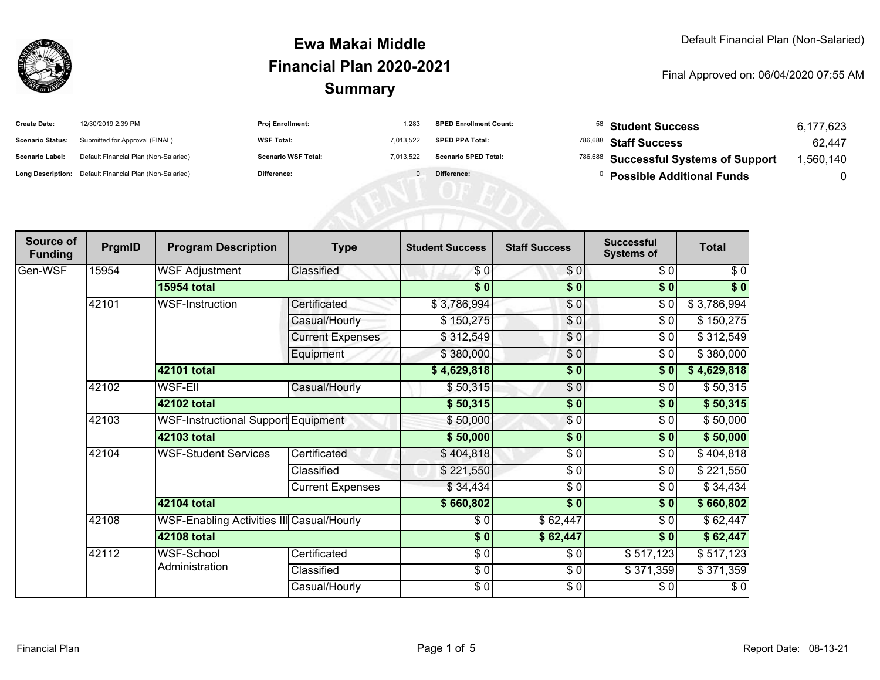

| <b>Create Date:</b>     | 12/30/2019 2:39 PM                                      | <b>Proj Enrollment:</b>    | 1,283     | <b>SPED Enrollment Count:</b> | 58 Student Success                     | 6,177,623 |
|-------------------------|---------------------------------------------------------|----------------------------|-----------|-------------------------------|----------------------------------------|-----------|
| <b>Scenario Status:</b> | Submitted for Approval (FINAL)                          | <b>WSF Total:</b>          | 7,013,522 | <b>SPED PPA Total:</b>        | <sup>786,688</sup> Staff Success       | 62,447    |
| <b>Scenario Label:</b>  | Default Financial Plan (Non-Salaried)                   | <b>Scenario WSF Total:</b> | 7.013.522 | <b>Scenario SPED Total:</b>   | 786,688 Successful Systems of Support  | ,560,140  |
|                         | Long Description: Default Financial Plan (Non-Salaried) | Difference:                |           | Difference:                   | <sup>0</sup> Possible Additional Funds |           |
|                         |                                                         |                            |           |                               |                                        |           |
|                         |                                                         |                            |           |                               |                                        |           |
|                         |                                                         |                            |           |                               |                                        |           |

| Source of<br><b>Funding</b> | PrgmID | <b>Program Description</b>                       | <b>Type</b>             | <b>Student Success</b> | <b>Staff Success</b> | <b>Successful</b><br><b>Systems of</b> | <b>Total</b> |
|-----------------------------|--------|--------------------------------------------------|-------------------------|------------------------|----------------------|----------------------------------------|--------------|
| Gen-WSF                     | 15954  | <b>WSF Adjustment</b>                            | Classified              | \$0                    | \$0                  | \$0                                    | \$0          |
|                             |        | <b>15954 total</b>                               |                         | \$0                    | \$0                  | \$0                                    | $\sqrt[6]{}$ |
|                             | 42101  | <b>WSF-Instruction</b>                           | Certificated            | \$3,786,994            | \$0                  | \$0                                    | \$3,786,994  |
|                             |        |                                                  | Casual/Hourly           | \$150,275              | \$0                  | \$0                                    | \$150,275    |
|                             |        |                                                  | <b>Current Expenses</b> | \$312,549              | \$0                  | $\frac{6}{6}$                          | \$312,549    |
|                             |        |                                                  | Equipment               | \$380,000              | $\frac{6}{6}$        | \$0                                    | \$380,000    |
|                             |        | 42101 total                                      |                         | \$4,629,818            | \$0                  | \$0                                    | \$4,629,818  |
|                             | 42102  | <b>WSF-Ell</b>                                   | Casual/Hourly           | \$50,315               | \$0                  | \$0                                    | \$50,315     |
|                             |        | 42102 total                                      |                         | \$50,315               | \$0                  | \$0                                    | \$50,315     |
|                             | 42103  | <b>WSF-Instructional Support Equipment</b>       |                         | \$50,000               | \$0                  | \$0                                    | \$50,000     |
|                             |        | 42103 total                                      |                         | \$50,000               | \$0                  | \$0                                    | \$50,000     |
|                             | 42104  | <b>WSF-Student Services</b>                      | Certificated            | \$404,818              | \$0                  | \$0                                    | \$404,818    |
|                             |        |                                                  | Classified              | \$221,550              | $\frac{6}{6}$        | $\frac{6}{6}$                          | \$221,550    |
|                             |        |                                                  | <b>Current Expenses</b> | \$34,434               | \$0                  | \$0                                    | \$34,434     |
|                             |        | 42104 total                                      |                         | \$660,802              | \$0                  | \$0                                    | \$660,802    |
|                             | 42108  | <b>WSF-Enabling Activities III Casual/Hourly</b> |                         | \$0                    | \$62,447             | \$0                                    | \$62,447     |
|                             |        | 42108 total                                      |                         | \$0                    | \$62,447             | \$0                                    | \$62,447     |
|                             | 42112  | <b>WSF-School</b><br>Administration              | Certificated            | \$0                    | \$0                  | \$517,123                              | \$517,123    |
|                             |        |                                                  | Classified              | \$0                    | \$0                  | \$371,359                              | \$371,359    |
|                             |        |                                                  | Casual/Hourly           | \$0                    | \$0                  | \$0                                    | \$0          |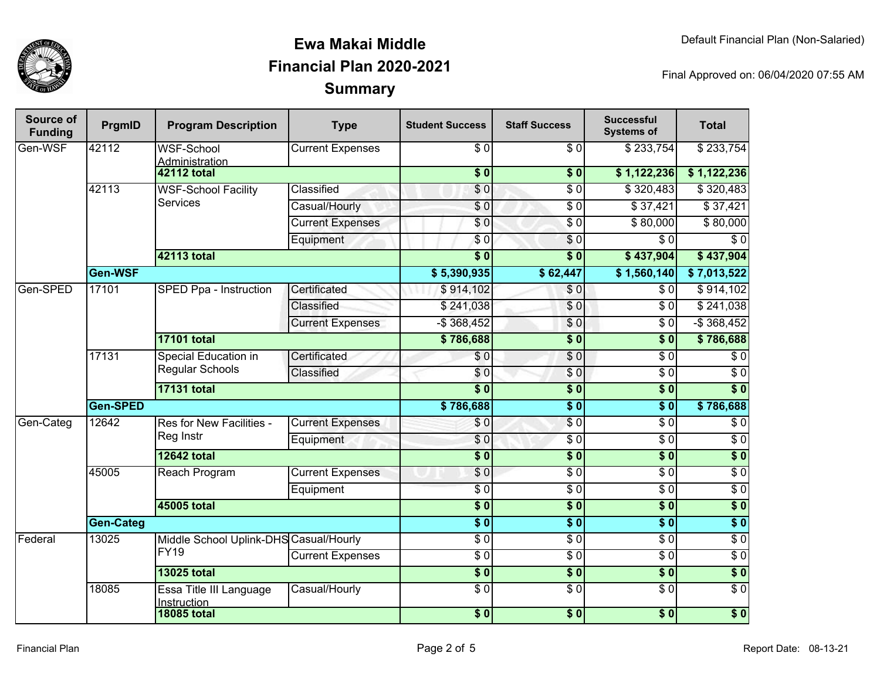

| Source of<br><b>Funding</b> | PrgmID           | <b>Program Description</b>                     | <b>Type</b>             | <b>Student Success</b> | <b>Staff Success</b>     | <b>Successful</b><br><b>Systems of</b> | <b>Total</b>     |
|-----------------------------|------------------|------------------------------------------------|-------------------------|------------------------|--------------------------|----------------------------------------|------------------|
| Gen-WSF                     | 42112            | <b>WSF-School</b><br>Administration            | <b>Current Expenses</b> | $\sqrt{6}$             | $\overline{\$0}$         | \$233,754                              | \$233,754        |
|                             |                  | <b>42112 total</b>                             |                         | $\overline{\$}0$       | $\overline{\textbf{50}}$ | \$1,122,236                            | \$1,122,236      |
|                             | 42113            | <b>WSF-School Facility</b><br><b>Services</b>  | Classified              | \$0                    | $\overline{\$0}$         | \$320,483                              | \$320,483        |
|                             |                  |                                                | Casual/Hourly           | $\sqrt{6}$             | $\overline{\$0}$         | \$37,421                               | \$37,421         |
|                             |                  |                                                | <b>Current Expenses</b> | $\overline{\$0}$       | $\overline{\$0}$         | \$80,000                               | \$80,000         |
|                             |                  |                                                | Equipment               | $\overline{\$0}$       | $\overline{\$0}$         | $\overline{\$0}$                       | $\overline{\$0}$ |
|                             |                  | 42113 total                                    |                         | $\overline{\$0}$       | $\overline{\$0}$         | \$437,904                              | \$437,904        |
|                             | Gen-WSF          |                                                |                         | \$5,390,935            | \$62,447                 | \$1,560,140                            | \$7,013,522      |
| Gen-SPED                    | 17101            | SPED Ppa - Instruction                         | Certificated            | \$914,102              | \$0                      | \$0                                    | \$914,102        |
|                             |                  |                                                | Classified              | \$241,038              | \$0                      | \$0                                    | \$241,038        |
|                             |                  |                                                | <b>Current Expenses</b> | $-$ \$ 368,452         | \$0                      | $\overline{\$0}$                       | $-$ \$368,452    |
|                             |                  | <b>17101 total</b>                             |                         | \$786,688              | $\overline{\textbf{50}}$ | $\overline{\textbf{S}^0}$              | \$786,688        |
|                             | 17131            | <b>Special Education in</b><br>Regular Schools | Certificated            | \$0                    | $\overline{\$0}$         | $\overline{\$0}$                       | $\overline{\$0}$ |
|                             |                  |                                                | Classified              | \$0                    | \$0                      | $\overline{\$0}$                       | $\overline{\$0}$ |
|                             |                  | <b>17131 total</b>                             |                         | $\overline{\bullet}$ 0 | $\overline{\$0}$         | $\overline{\$0}$                       | $\overline{\$0}$ |
|                             | Gen-SPED         |                                                |                         | \$786,688              | $\overline{\$0}$         | $\overline{\$0}$                       | \$786,688        |
| Gen-Categ                   | 12642            | Res for New Facilities -                       | <b>Current Expenses</b> | \$0                    | $\overline{\$0}$         | $\overline{\$0}$                       | $\overline{$}0$  |
|                             |                  | Reg Instr                                      | Equipment               | $\overline{\$0}$       | $\overline{\$0}$         | $\overline{\$0}$                       | $\overline{\$0}$ |
|                             |                  | <b>12642 total</b>                             |                         | $\overline{\$0}$       | $\overline{\$0}$         | $\overline{\$0}$                       | $\overline{\$0}$ |
|                             | 45005            | <b>Reach Program</b>                           | <b>Current Expenses</b> | \$0                    | $\overline{\$0}$         | $\overline{\$0}$                       | $\overline{\$0}$ |
|                             |                  |                                                | Equipment               | $\overline{\$0}$       | $\overline{\$0}$         | $\overline{\$0}$                       | $\overline{\$0}$ |
|                             |                  | <b>45005 total</b>                             |                         | $\overline{\$0}$       | $\overline{\$0}$         | $\overline{\$0}$                       | $\overline{\$0}$ |
|                             | <b>Gen-Categ</b> |                                                |                         | $\overline{\bullet}$   | $\overline{\$0}$         | $\overline{\$0}$                       | $\overline{\$0}$ |
| Federal                     | 13025            | Middle School Uplink-DHS Casual/Hourly         |                         | $\overline{\$0}$       | $\overline{\$0}$         | $\overline{\$0}$                       | $\overline{\$0}$ |
|                             |                  | <b>FY19</b>                                    | <b>Current Expenses</b> | $\overline{\$0}$       | $\overline{\$0}$         | $\overline{\$0}$                       | $\overline{\$0}$ |
|                             |                  | <b>13025 total</b>                             |                         | $\overline{\$0}$       | $\overline{\$0}$         | $\sqrt{ }$                             | $\sqrt{6}$       |
|                             | 18085            | Essa Title III Language<br>Instruction         | Casual/Hourly           | $\overline{\$0}$       | $\overline{\$0}$         | $\overline{\$0}$                       | $\overline{\$0}$ |
|                             |                  | <b>18085 total</b>                             |                         | $\sqrt{6}$             | $\sqrt{6}$               | $\sqrt{6}$                             | $\overline{\$0}$ |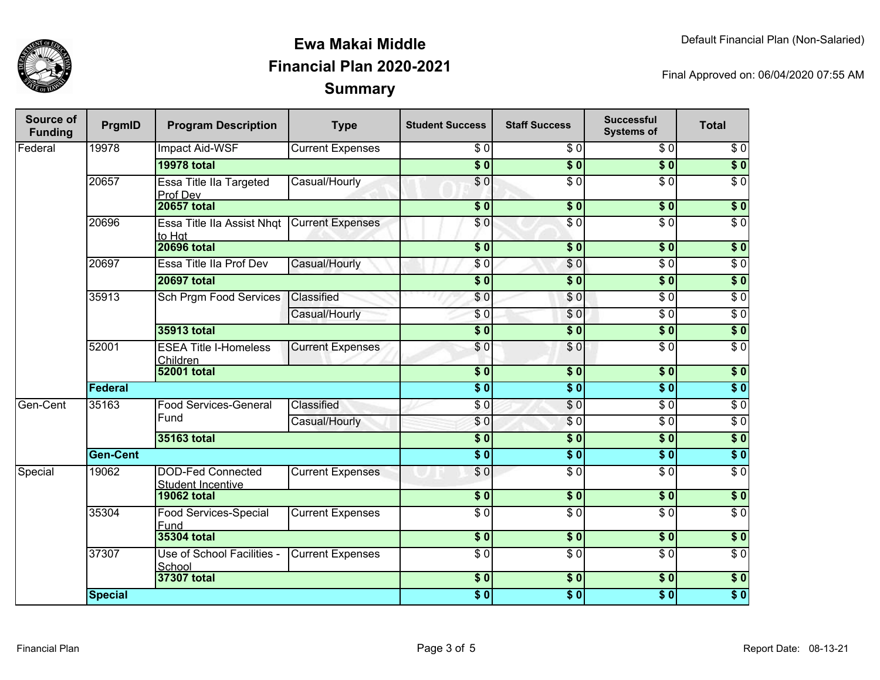

| Source of<br><b>Funding</b> | PrgmID          | <b>Program Description</b>                           | <b>Type</b>             | <b>Student Success</b>   | <b>Staff Success</b>        | <b>Successful</b><br><b>Systems of</b> | <b>Total</b>     |
|-----------------------------|-----------------|------------------------------------------------------|-------------------------|--------------------------|-----------------------------|----------------------------------------|------------------|
| Federal                     | 19978           | <b>Impact Aid-WSF</b>                                | <b>Current Expenses</b> | $\overline{\$0}$         | $\overline{S}$ <sub>0</sub> | $\sqrt{6}$                             | $\sqrt{6}$       |
|                             |                 | <b>19978 total</b>                                   |                         | $\overline{\$0}$         | $\overline{\$0}$            | $\overline{\$0}$                       | $\overline{\$0}$ |
|                             | 20657           | Essa Title IIa Targeted<br>Prof Dev                  | Casual/Hourly           | $\overline{\$0}$         | $\overline{50}$             | $\overline{30}$                        | $\overline{\$0}$ |
|                             |                 | <b>20657 total</b>                                   |                         | $\overline{\textbf{50}}$ | \$0                         | $\overline{\$0}$                       | \$0              |
|                             | 20696           | Essa Title IIa Assist Nhqt<br>to Hat                 | <b>Current Expenses</b> | $\overline{\$0}$         | $\overline{\$0}$            | $\overline{\$0}$                       | $\overline{\$0}$ |
|                             |                 | <b>20696 total</b>                                   |                         | $\overline{\$0}$         | $\overline{\$0}$            | $\overline{\$0}$                       | \$0              |
|                             | 20697           | Essa Title IIa Prof Dev                              | Casual/Hourly           | \$0                      | \$0                         | $\sqrt{6}$                             | $\sqrt{6}$       |
|                             |                 | <b>20697 total</b>                                   |                         | $\overline{\$0}$         | $\overline{\$0}$            | $\overline{\$0}$                       | $\overline{\$0}$ |
|                             | 35913           | Sch Prgm Food Services                               | Classified              | $\sqrt{6}$               | \$0                         | $\sqrt{6}$                             | $\sqrt{6}$       |
|                             |                 |                                                      | Casual/Hourly           | \$0                      | \$0                         | $\overline{60}$                        | $\overline{50}$  |
|                             |                 | 35913 total                                          |                         | $\overline{\$0}$         | $\overline{\$0}$            | $\overline{\$0}$                       | \$0              |
|                             | 52001           | <b>ESEA Title I-Homeless</b><br>Children             | <b>Current Expenses</b> | \$0                      | \$0                         | $\overline{60}$                        | $\overline{60}$  |
|                             |                 | <b>52001 total</b>                                   |                         | $\overline{\$0}$         | $\overline{\$0}$            | $\overline{\$0}$                       | $\overline{\$0}$ |
|                             | Federal         |                                                      |                         | $\overline{\$0}$         | $\overline{\$0}$            | $\overline{\$0}$                       | $\overline{\$0}$ |
| Gen-Cent                    | 35163           | Food Services-General                                | Classified              | $\sqrt{6}$               | $\overline{S}0$             | $\overline{30}$                        | $\overline{60}$  |
|                             |                 | Fund                                                 | Casual/Hourly           | \$0                      | $\sqrt{6}$                  | \$0                                    | $\overline{\$0}$ |
|                             |                 | 35163 total                                          |                         | $\overline{\$0}$         | $\overline{\$0}$            | $\overline{\$0}$                       | $\overline{\$0}$ |
|                             | <b>Gen-Cent</b> |                                                      |                         | $\overline{\$0}$         | $\overline{\$0}$            | $\overline{\$0}$                       | $\overline{\$0}$ |
| Special                     | 19062           | <b>DOD-Fed Connected</b><br><b>Student Incentive</b> | <b>Current Expenses</b> | \$0                      | $\overline{S}0$             | $\overline{30}$                        | $\overline{60}$  |
|                             |                 | <b>19062 total</b>                                   |                         | $\overline{\$0}$         | \$0                         | \$0                                    | $\overline{\$0}$ |
|                             | 35304           | Food Services-Special<br>Fund                        | <b>Current Expenses</b> | $\overline{\$0}$         | $\overline{\$0}$            | $\overline{\$0}$                       | $\overline{\$0}$ |
|                             |                 | 35304 total                                          |                         | $\sqrt{6}$               | \$0                         | \$0                                    | \$0              |
|                             | 37307           | Use of School Facilities -<br>School                 | <b>Current Expenses</b> | $\overline{S}0$          | $\overline{S}0$             | $\overline{60}$                        | $\overline{60}$  |
|                             |                 | 37307 total                                          |                         | $\overline{\$0}$         | $\overline{\$0}$            | $\overline{\$0}$                       | $\overline{\$0}$ |
|                             | <b>Special</b>  |                                                      |                         | $\overline{\$0}$         | $\overline{\$0}$            | $\overline{\$0}$                       | $\overline{\$0}$ |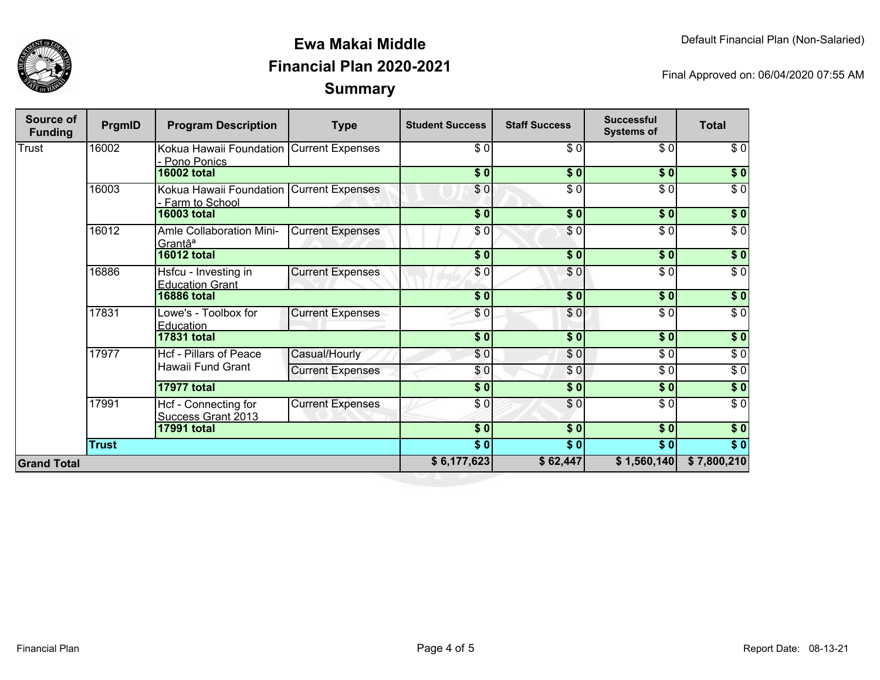

| <b>Source of</b><br><b>Funding</b> | PrgmID       | <b>Program Description</b>                                 | <b>Type</b>             | <b>Student Success</b>     | <b>Staff Success</b>     | <b>Successful</b><br><b>Systems of</b> | <b>Total</b>     |                  |
|------------------------------------|--------------|------------------------------------------------------------|-------------------------|----------------------------|--------------------------|----------------------------------------|------------------|------------------|
| Trust                              | 16002        | Kokua Hawaii Foundation Current Expenses<br>Pono Ponics    |                         | \$0                        | \$0                      | \$0                                    | \$0              |                  |
|                                    |              | <b>16002 total</b>                                         |                         | \$0]                       | \$0                      | \$0                                    | $\sqrt{ }$       |                  |
|                                    | 16003        | Kokua Hawaii Foundation Current Expenses<br>Farm to School |                         | \$0                        | $\overline{\$0}$         | \$0                                    | $\overline{\$0}$ |                  |
|                                    |              | <b>16003 total</b>                                         |                         | $\overline{\$0}$           | $\frac{1}{2}$            | \$0                                    | $\overline{\$}0$ |                  |
|                                    | 16012        | Amle Collaboration Mini-<br>Grantâ <sup>a</sup>            | <b>Current Expenses</b> | $\frac{6}{3}$              | $\frac{1}{\epsilon}$     | $\sqrt{6}$                             | $\sqrt{6}$       |                  |
|                                    |              | <b>16012 total</b>                                         |                         | $\overline{\$0}$           | $\sqrt{50}$              | $\overline{\$0}$                       | $\overline{\$}0$ |                  |
|                                    | 16886        | Hsfcu - Investing in<br><b>Education Grant</b>             | <b>Current Expenses</b> | \$0                        | \$0                      | $\sqrt{6}$                             | $\overline{\$0}$ |                  |
|                                    |              | <b>16886 total</b>                                         |                         | $\overline{\phantom{0}30}$ | $\overline{\$0}$         | $\overline{\$0}$                       | $\sqrt{ }$       |                  |
|                                    | 17831        | Lowe's - Toolbox for<br>Education                          | <b>Current Expenses</b> | \$0                        | \$0                      | \$0                                    | $\sqrt{6}$       |                  |
|                                    |              | <b>17831 total</b>                                         |                         | \$0                        | \$0                      | \$0                                    | \$0              |                  |
|                                    | 17977        |                                                            | Hcf - Pillars of Peace  | Casual/Hourly              | $\overline{\frac{3}{2}}$ | $\overline{\$0}$                       | $\sqrt{6}$       | $\overline{\$0}$ |
|                                    |              | Hawaii Fund Grant                                          | <b>Current Expenses</b> | \$0                        | \$0                      | $\sqrt{6}$                             | $\sqrt{6}$       |                  |
|                                    |              | <b>17977 total</b>                                         |                         | $\frac{1}{2}$              | $\frac{1}{2}$            | $\frac{1}{2}$                          | $\sqrt{6}$       |                  |
|                                    | 17991        | Hcf - Connecting for<br><b>Success Grant 2013</b>          | <b>Current Expenses</b> | \$0                        | \$0                      | \$0                                    | $\sqrt{6}$       |                  |
|                                    |              | <b>17991 total</b>                                         |                         | \$0                        | $\overline{\$0}$         | $\overline{\$0}$                       | $\sqrt{50}$      |                  |
|                                    | <b>Trust</b> |                                                            |                         | $\overline{\$0}$           | $\overline{\$0}$         | $\overline{\$0}$                       | $\overline{\$0}$ |                  |
| <b>Grand Total</b>                 |              |                                                            |                         | \$6,177,623                | \$62,447                 | \$1,560,140                            | \$7,800,210      |                  |